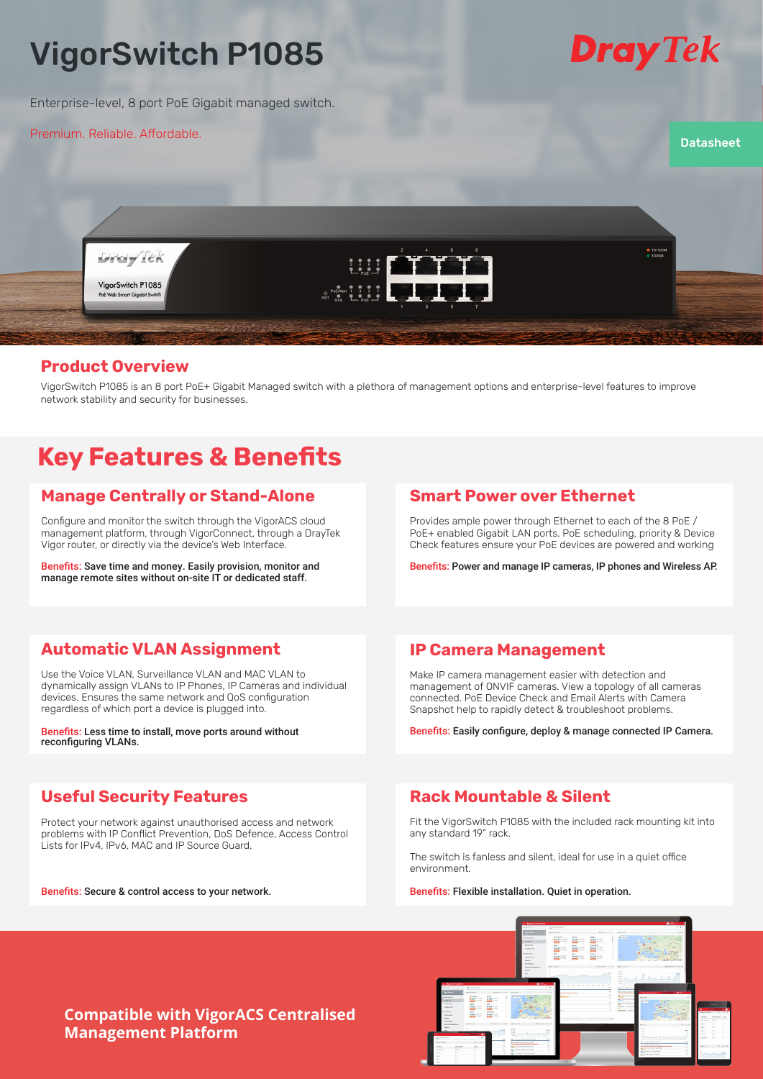# VigorSwitch P1085

Enterprise-level, 8 port PoE Gigabit managed switch.

Premium. Reliable. Affordable.



**Datasheet** 



## **Product Overview**

VigorSwitch P1085 is an 8 port PoE+ Gigabit Managed switch with a plethora of management options and enterprise-level features to improve network stability and security for businesses.

# **Key Features & Benefits**

# **Manage Centrally or Stand-Alone**

Configure and monitor the switch through the VigorACS cloud management platform, through VigorConnect, through a DrayTek Vigor router, or directly via the device's Web Interface.

Benefits: Save time and money. Easily provision, monitor and manage remote sites without on-site IT or dedicated staff.

## **Smart Power over Ethernet**

Provides ample power through Ethernet to each of the 8 PoE / PoE+ enabled Gigabit LAN ports. PoE scheduling, priority & Device Check features ensure your PoE devices are powered and working

Benefits: Power and manage IP cameras, IP phones and Wireless AP.

# **Automatic VLAN Assignment**

Use the Voice VLAN, Surveillance VLAN and MAC VLAN to dynamically assign VLANs to IP Phones, IP Cameras and individual devices. Ensures the same network and QoS configuration regardless of which port a device is plugged into.

Benefits: Less time to install, move ports around without reconfiguring VLANs.

# **Useful Security Features**

Protect your network against unauthorised access and network problems with IP Conflict Prevention, DoS Defence, Access Control Lists for IPv4, IPv6, MAC and IP Source Guard.

Benefits: Secure & control access to your network.

# **IP Camera Management**

Make IP camera management easier with detection and management of ONVIF cameras. View a topology of all cameras connected. PoE Device Check and Email Alerts with Camera Snapshot help to rapidly detect & troubleshoot problems.

Benefits: Easily configure, deploy & manage connected IP Camera.

# **Rack Mountable & Silent**

Fit the VigorSwitch P1085 with the included rack mounting kit into any standard 19" rack.

 $\frac{1}{200}$ 

The switch is fanless and silent, ideal for use in a quiet office environment.

Benefits: Flexible installation. Quiet in operation.

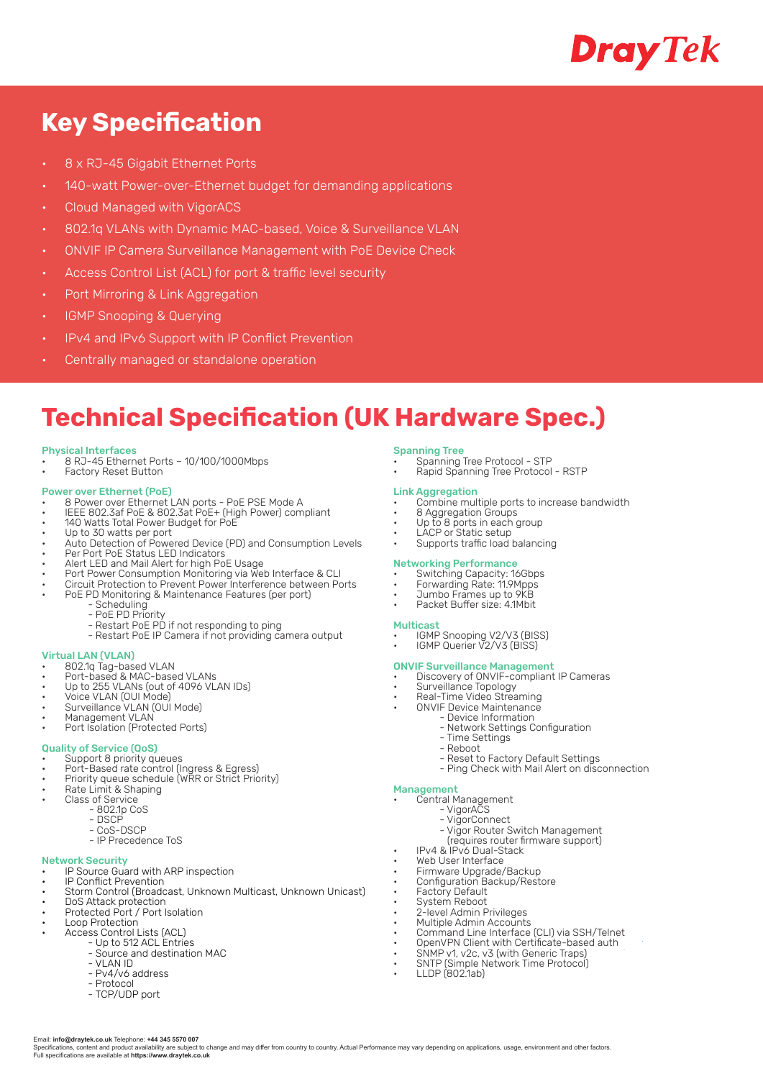

# **Key Specification**

- 8 x RJ-45 Gigabit Ethernet Ports
- 140-watt Power-over-Ethernet budget for demanding applications
- Cloud Managed with VigorACS
- 802.1q VLANs with Dynamic MAC-based, Voice & Surveillance VLAN
- ONVIF IP Camera Surveillance Management with PoE Device Check
- Access Control List (ACL) for port & traffic level security
- Port Mirroring & Link Aggregation
- IGMP Snooping & Querying
- IPv4 and IPv6 Support with IP Conflict Prevention
- Centrally managed or standalone operation

# **Technical Specification (UK Hardware Spec.)**

Specifications, content and product availability are subject to change and may differ from country to country. Actual Performance may vary depending on applications, usage, environment and other factors

#### Physical Interfaces

• 8 RJ-45 Ethernet Ports – 10/100/1000Mbps • Factory Reset Button

- Power over Ethernet (PoE) 8 Power over Ethernet LAN ports PoE PSE Mode A
- IEEE 802.3af PoE & 802.3at PoE+ (High Power) compliant
- 140 Watts Total Power Budget for PoE • Up to 30 watts per port
- Auto Detection of Powered Device (PD) and Consumption Levels
- Per Port PoE Status LED Indicators
- Alert LED and Mail Alert for high PoE Usage
- Port Power Consumption Monitoring via Web Interface & CLI
- Circuit Protection to Prevent Power Interference between Ports
- PoE PD Monitoring & Maintenance Features (per port) - Scheduling
	- PoE PD Priority
	- Restart PoE PD if not responding to ping
		- Restart PoE IP Camera if not providing camera output

#### Virtual LAN (VLAN)

- 802.1q Tag-based VLAN
- Port-based & MAC-based VLANs
- Up to 255 VLANs (out of 4096 VLAN IDs)
- Voice VLAN (OUI Mode)
- Surveillance VLAN (OUI Mode)
- Management VLAN
- Port Isolation (Protected Ports)

### Quality of Service (QoS)

- Support 8 priority queues
- Port-Based rate control (Ingress & Egress)
- Priority queue schedule (WRR or Strict Priority)
- Rate Limit & Shaping Class of Service
	- 802.1p CoS
		- DSCP
		- CoS-DSCP
		- IP Precedence ToS

### Network Security

- **Exercise Cuard with ARP inspection**
- IP Conflict Prevention
- Storm Control (Broadcast, Unknown Multicast, Unknown Unicast)
- DoS Attack protection • Protected Port / Port Isolation
- Loop Protection
- Access Control Lists (ACL)
	- Up to 512 ACL Entries
		- Source and destination MAC
		- VLAN ID - Pv4/v6 address
		- Protocol

Email: **info@draytek.co.uk** Telephone: **+44 345 5570 007**

Full specifications are available at **https://www.draytek.co.uk**

- TCP/UDP port

#### Spanning Tree

- Spanning Tree Protocol STP
- Rapid Spanning Tree Protocol RSTP

- Link Aggregation Combine multiple ports to increase bandwidth
- 8 Aggregation Groups
- Up to 8 ports in each group • LACP or Static setup
- **External Supports traffic load balancing**

- Networking Performance Switching Capacity: 16Gbps
- Forwarding Rate: 11.9Mpps
- Jumbo Frames up to 9KB Packet Buffer size: 4.1Mbit
- 

#### Multicast

- IGMP Snooping V2/V3 (BISS)
- IGMP Querier V2/V3 (BISS)

### ONVIF Surveillance Management

- Discovery of ONVIF-compliant IP Cameras
- Surveillance Topology
- Real-Time Video Streaming
- ONVIF Device Maintenance - Device Information
	- Network Settings Configuration
	- Time Settings
	- Reboot
	- Reset to Factory Default Settings
	- Ping Check with Mail Alert on disconnection

### Management

- Central Management
	- VigorACS
	- VigorConnect
	- Vigor Router Switch Management (requires router firmware support)
- IPv4 & IPv6 Dual-Stack
- Web User Interface
- Firmware Upgrade/Backup
- Configuration Backup/Restore
- Factory Default
- System Reboot
- 2-level Admin Privileges
- Multiple Admin Accounts
- Command Line Interface (CLI) via SSH/Telnet
- OpenVPN Client with Certificate-based auth • SNMP v1, v2c, v3 (with Generic Traps)
- SNTP (Simple Network Time Protocol)
- LLDP (802.1ab)